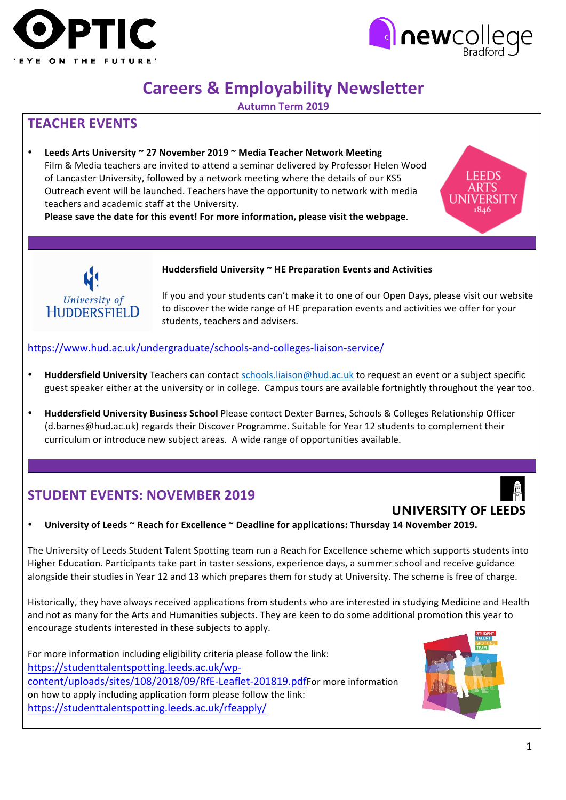



**EEDS** 

# **Careers & Employability Newsletter**

**Autumn Term 2019**

### **TEACHER EVENTS**

Leeds Arts University ~ 27 November 2019 ~ Media Teacher Network Meeting Film & Media teachers are invited to attend a seminar delivered by Professor Helen Wood of Lancaster University, followed by a network meeting where the details of our KS5 Outreach event will be launched. Teachers have the opportunity to network with media teachers and academic staff at the University.

Please save the date for this event! For more information, please visit the webpage.



#### Huddersfield University ~ HE Preparation Events and Activities

If you and your students can't make it to one of our Open Days, please visit our website to discover the wide range of HE preparation events and activities we offer for your students, teachers and advisers.

https://www.hud.ac.uk/undergraduate/schools-and-colleges-liaison-service/

- Huddersfield University Teachers can contact schools.liaison@hud.ac.uk to request an event or a subject specific guest speaker either at the university or in college. Campus tours are available fortnightly throughout the year too.
- **Huddersfield University Business School** Please contact Dexter Barnes, Schools & Colleges Relationship Officer (d.barnes@hud.ac.uk) regards their Discover Programme. Suitable for Year 12 students to complement their curriculum or introduce new subject areas. A wide range of opportunities available.

## **STUDENT EVENTS: NOVEMBER 2019**

## **UNIVERSITY OF LEEDS**

University of Leeds ~ Reach for Excellence ~ Deadline for applications: Thursday 14 November 2019.

The University of Leeds Student Talent Spotting team run a Reach for Excellence scheme which supports students into Higher Education. Participants take part in taster sessions, experience days, a summer school and receive guidance alongside their studies in Year 12 and 13 which prepares them for study at University. The scheme is free of charge.

Historically, they have always received applications from students who are interested in studying Medicine and Health and not as many for the Arts and Humanities subjects. They are keen to do some additional promotion this year to encourage students interested in these subjects to apply.

For more information including eligibility criteria please follow the link: https://studenttalentspotting.leeds.ac.uk/wpcontent/uploads/sites/108/2018/09/RfE-Leaflet-201819.pdfFor more information on how to apply including application form please follow the link: https://studenttalentspotting.leeds.ac.uk/rfeapply/